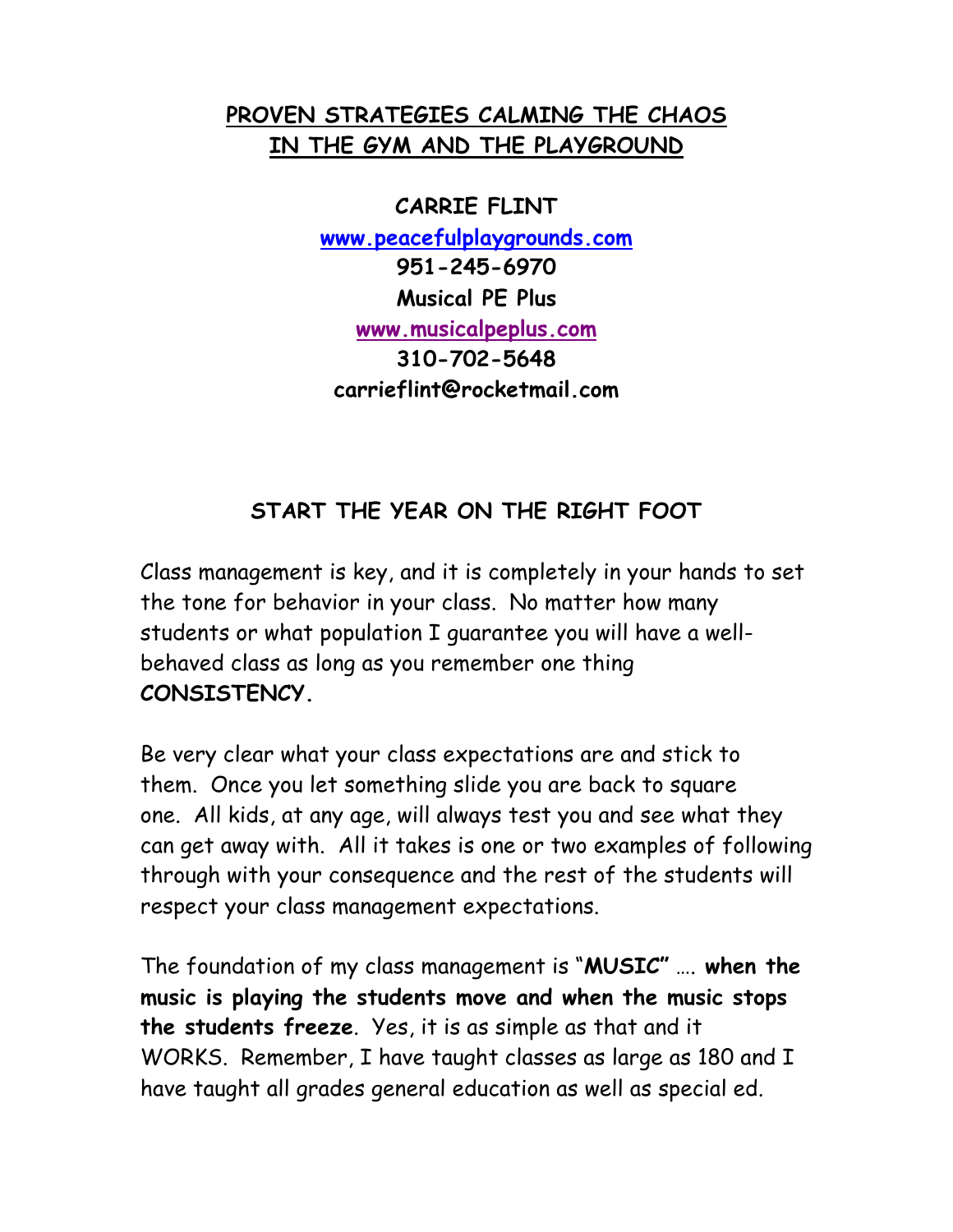# **PROVEN STRATEGIES CALMING THE CHAOS IN THE GYM AND THE PLAYGROUND**

**CARRIE FLINT www.peacefulplaygrounds.com 951-245-6970 Musical PE Plus www.musicalpeplus.com 310-702-5648 carrieflint@rocketmail.com**

# **START THE YEAR ON THE RIGHT FOOT**

Class management is key, and it is completely in your hands to set the tone for behavior in your class. No matter how many students or what population I guarantee you will have a wellbehaved class as long as you remember one thing **CONSISTENCY.**

Be very clear what your class expectations are and stick to them. Once you let something slide you are back to square one. All kids, at any age, will always test you and see what they can get away with. All it takes is one or two examples of following through with your consequence and the rest of the students will respect your class management expectations.

The foundation of my class management is "**MUSIC"** …. **when the music is playing the students move and when the music stops the students freeze**. Yes, it is as simple as that and it WORKS. Remember, I have taught classes as large as 180 and I have taught all grades general education as well as special ed.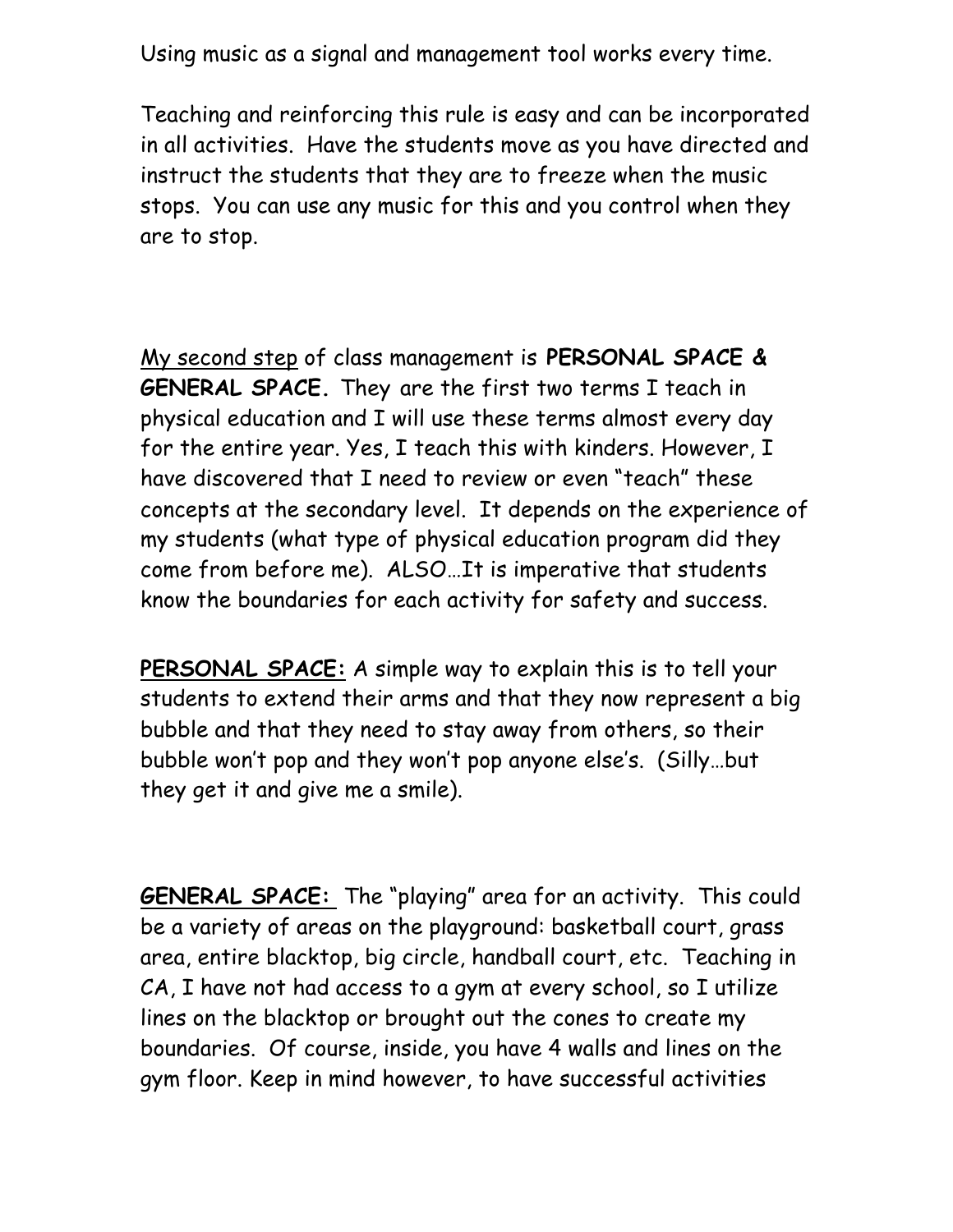Using music as a signal and management tool works every time.

Teaching and reinforcing this rule is easy and can be incorporated in all activities. Have the students move as you have directed and instruct the students that they are to freeze when the music stops. You can use any music for this and you control when they are to stop.

My second step of class management is **PERSONAL SPACE & GENERAL SPACE.** They are the first two terms I teach in physical education and I will use these terms almost every day for the entire year. Yes, I teach this with kinders. However, I have discovered that I need to review or even "teach" these concepts at the secondary level. It depends on the experience of my students (what type of physical education program did they come from before me). ALSO…It is imperative that students know the boundaries for each activity for safety and success.

**PERSONAL SPACE:** A simple way to explain this is to tell your students to extend their arms and that they now represent a big bubble and that they need to stay away from others, so their bubble won't pop and they won't pop anyone else's. (Silly…but they get it and give me a smile).

**GENERAL SPACE:** The "playing" area for an activity. This could be a variety of areas on the playground: basketball court, grass area, entire blacktop, big circle, handball court, etc. Teaching in CA, I have not had access to a gym at every school, so I utilize lines on the blacktop or brought out the cones to create my boundaries. Of course, inside, you have 4 walls and lines on the gym floor. Keep in mind however, to have successful activities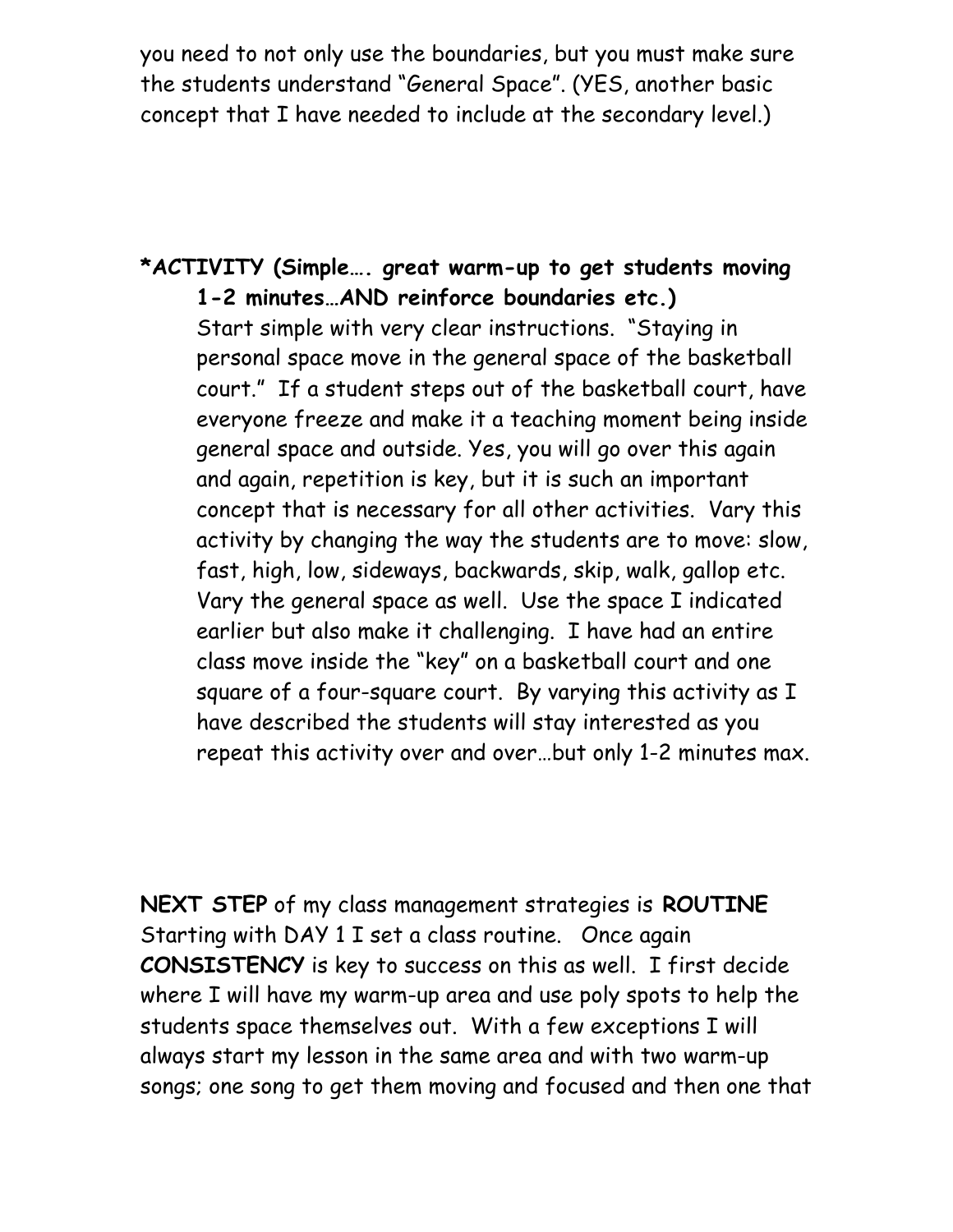you need to not only use the boundaries, but you must make sure the students understand "General Space". (YES, another basic concept that I have needed to include at the secondary level.)

# **\*ACTIVITY (Simple…. great warm-up to get students moving 1-2 minutes…AND reinforce boundaries etc.)**  Start simple with very clear instructions. "Staying in personal space move in the general space of the basketball court." If a student steps out of the basketball court, have everyone freeze and make it a teaching moment being inside general space and outside. Yes, you will go over this again and again, repetition is key, but it is such an important concept that is necessary for all other activities. Vary this activity by changing the way the students are to move: slow, fast, high, low, sideways, backwards, skip, walk, gallop etc. Vary the general space as well. Use the space I indicated earlier but also make it challenging. I have had an entire class move inside the "key" on a basketball court and one square of a four-square court. By varying this activity as I have described the students will stay interested as you repeat this activity over and over…but only 1-2 minutes max.

**NEXT STEP** of my class management strategies is **ROUTINE** Starting with DAY 1 I set a class routine. Once again **CONSISTENCY** is key to success on this as well. I first decide where I will have my warm-up area and use poly spots to help the students space themselves out. With a few exceptions I will always start my lesson in the same area and with two warm-up songs; one song to get them moving and focused and then one that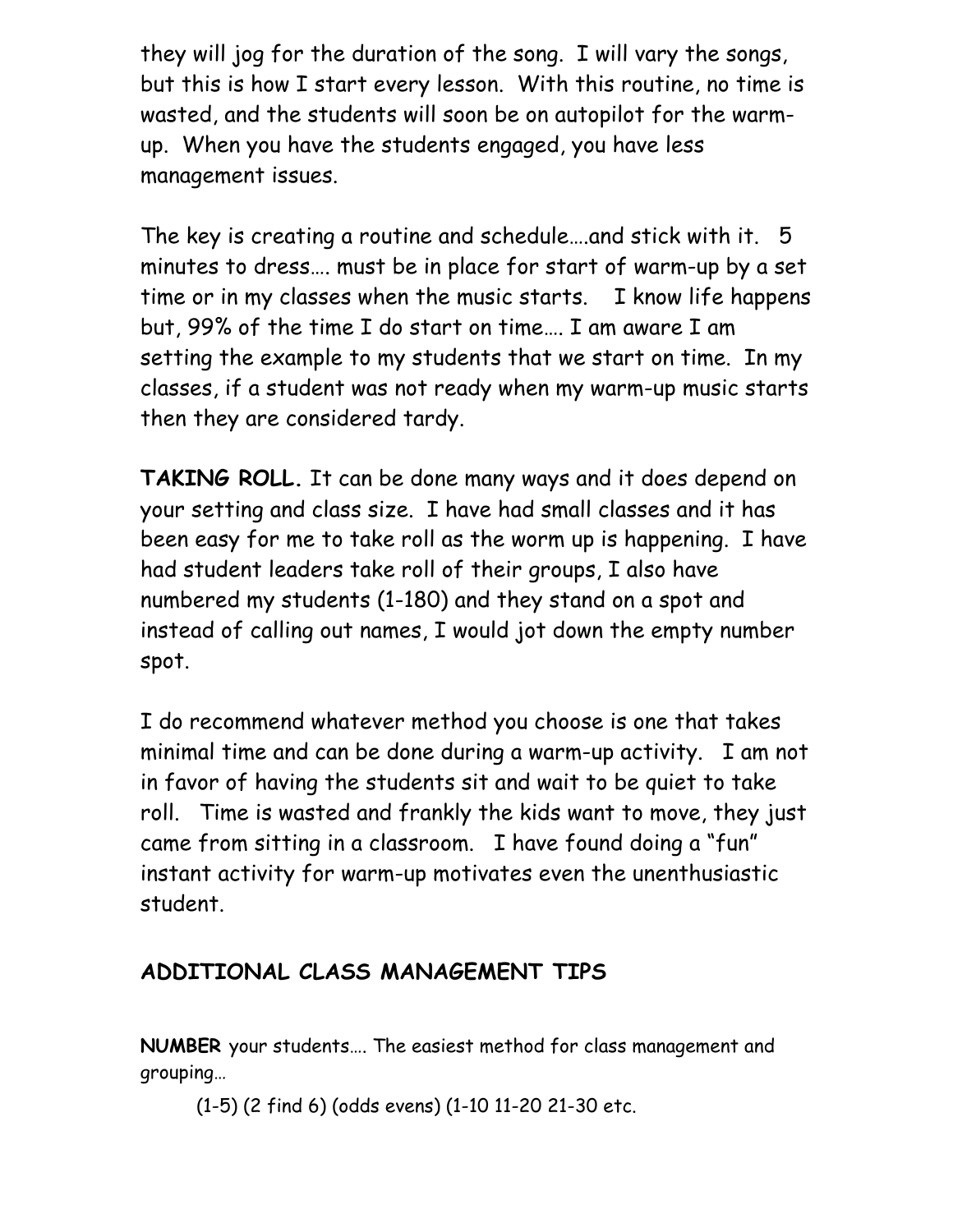they will jog for the duration of the song. I will vary the songs, but this is how I start every lesson. With this routine, no time is wasted, and the students will soon be on autopilot for the warmup. When you have the students engaged, you have less management issues.

The key is creating a routine and schedule….and stick with it. 5 minutes to dress…. must be in place for start of warm-up by a set time or in my classes when the music starts. I know life happens but, 99% of the time I do start on time…. I am aware I am setting the example to my students that we start on time. In my classes, if a student was not ready when my warm-up music starts then they are considered tardy.

**TAKING ROLL.** It can be done many ways and it does depend on your setting and class size. I have had small classes and it has been easy for me to take roll as the worm up is happening. I have had student leaders take roll of their groups, I also have numbered my students (1-180) and they stand on a spot and instead of calling out names, I would jot down the empty number spot.

I do recommend whatever method you choose is one that takes minimal time and can be done during a warm-up activity. I am not in favor of having the students sit and wait to be quiet to take roll. Time is wasted and frankly the kids want to move, they just came from sitting in a classroom. I have found doing a "fun" instant activity for warm-up motivates even the unenthusiastic student.

# **ADDITIONAL CLASS MANAGEMENT TIPS**

**NUMBER** your students…. The easiest method for class management and grouping…

(1-5) (2 find 6) (odds evens) (1-10 11-20 21-30 etc.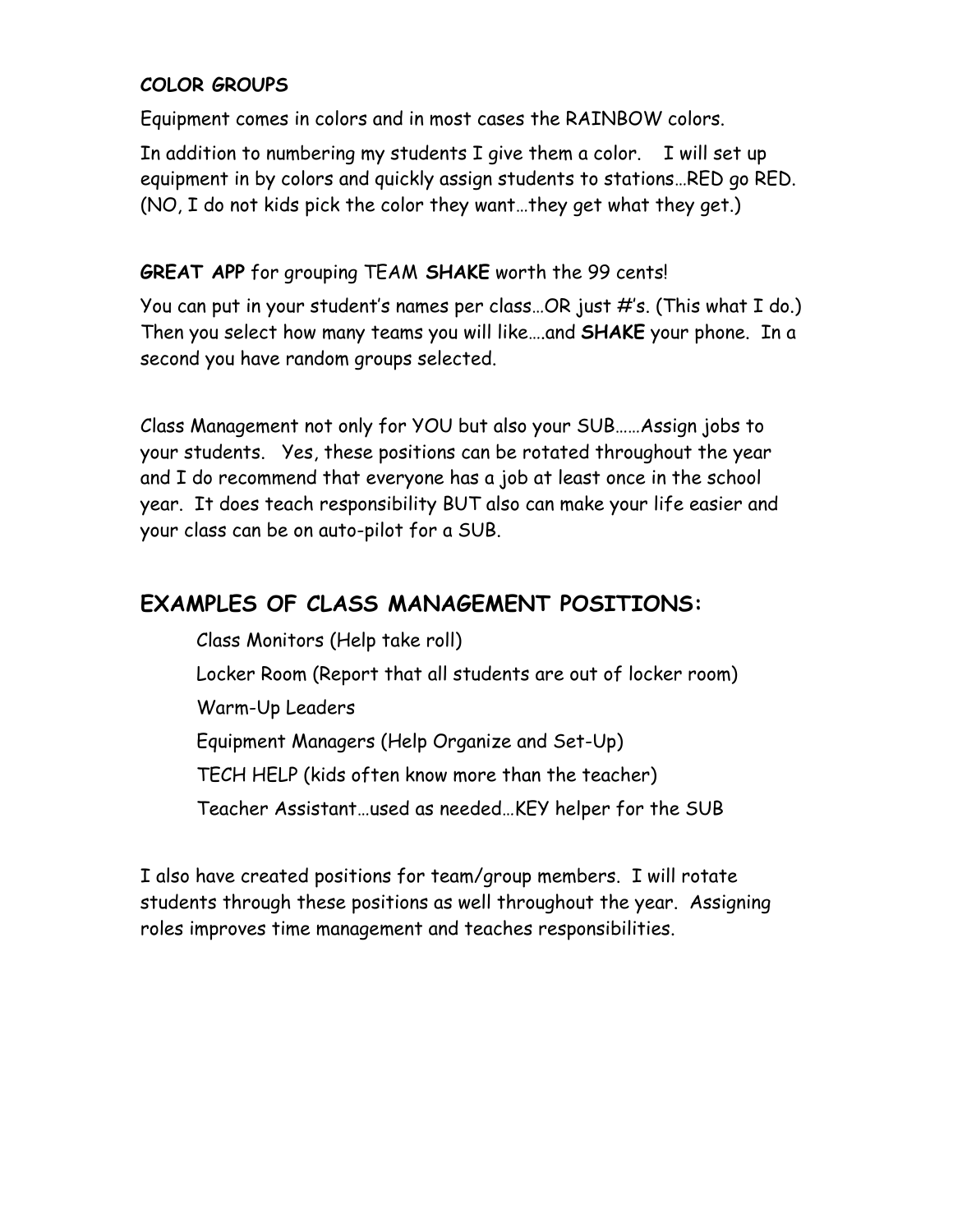#### **COLOR GROUPS**

Equipment comes in colors and in most cases the RAINBOW colors.

In addition to numbering my students I give them a color. I will set up equipment in by colors and quickly assign students to stations…RED go RED. (NO, I do not kids pick the color they want…they get what they get.)

#### **GREAT APP** for grouping TEAM **SHAKE** worth the 99 cents!

You can put in your student's names per class…OR just #'s. (This what I do.) Then you select how many teams you will like….and **SHAKE** your phone. In a second you have random groups selected.

Class Management not only for YOU but also your SUB……Assign jobs to your students. Yes, these positions can be rotated throughout the year and I do recommend that everyone has a job at least once in the school year. It does teach responsibility BUT also can make your life easier and your class can be on auto-pilot for a SUB.

## **EXAMPLES OF CLASS MANAGEMENT POSITIONS:**

Class Monitors (Help take roll)

Locker Room (Report that all students are out of locker room)

Warm-Up Leaders

Equipment Managers (Help Organize and Set-Up)

TECH HELP (kids often know more than the teacher)

Teacher Assistant…used as needed…KEY helper for the SUB

I also have created positions for team/group members. I will rotate students through these positions as well throughout the year. Assigning roles improves time management and teaches responsibilities.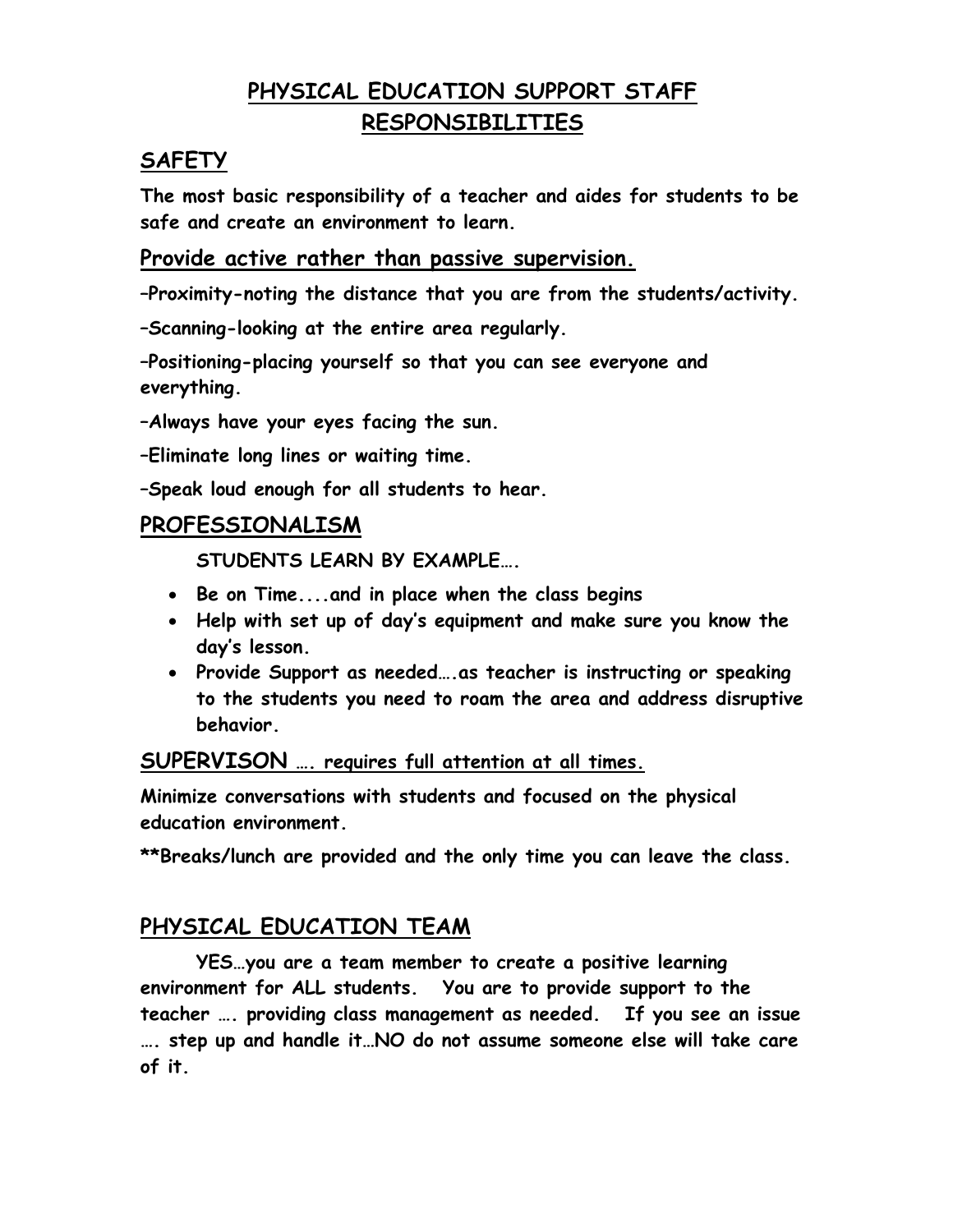# **PHYSICAL EDUCATION SUPPORT STAFF RESPONSIBILITIES**

## **SAFETY**

**The most basic responsibility of a teacher and aides for students to be safe and create an environment to learn.** 

### **Provide active rather than passive supervision.**

**–Proximity-noting the distance that you are from the students/activity.**

**–Scanning-looking at the entire area regularly.**

**–Positioning-placing yourself so that you can see everyone and everything.**

**–Always have your eyes facing the sun.**

**–Eliminate long lines or waiting time.**

**–Speak loud enough for all students to hear.** 

## **PROFESSIONALISM**

**STUDENTS LEARN BY EXAMPLE….**

- **Be on Time....and in place when the class begins**
- **Help with set up of day's equipment and make sure you know the day's lesson.**
- **Provide Support as needed….as teacher is instructing or speaking to the students you need to roam the area and address disruptive behavior.**

**SUPERVISON …. requires full attention at all times.**

**Minimize conversations with students and focused on the physical education environment.**

**\*\*Breaks/lunch are provided and the only time you can leave the class.**

# **PHYSICAL EDUCATION TEAM**

**YES…you are a team member to create a positive learning environment for ALL students. You are to provide support to the teacher …. providing class management as needed. If you see an issue …. step up and handle it…NO do not assume someone else will take care of it.**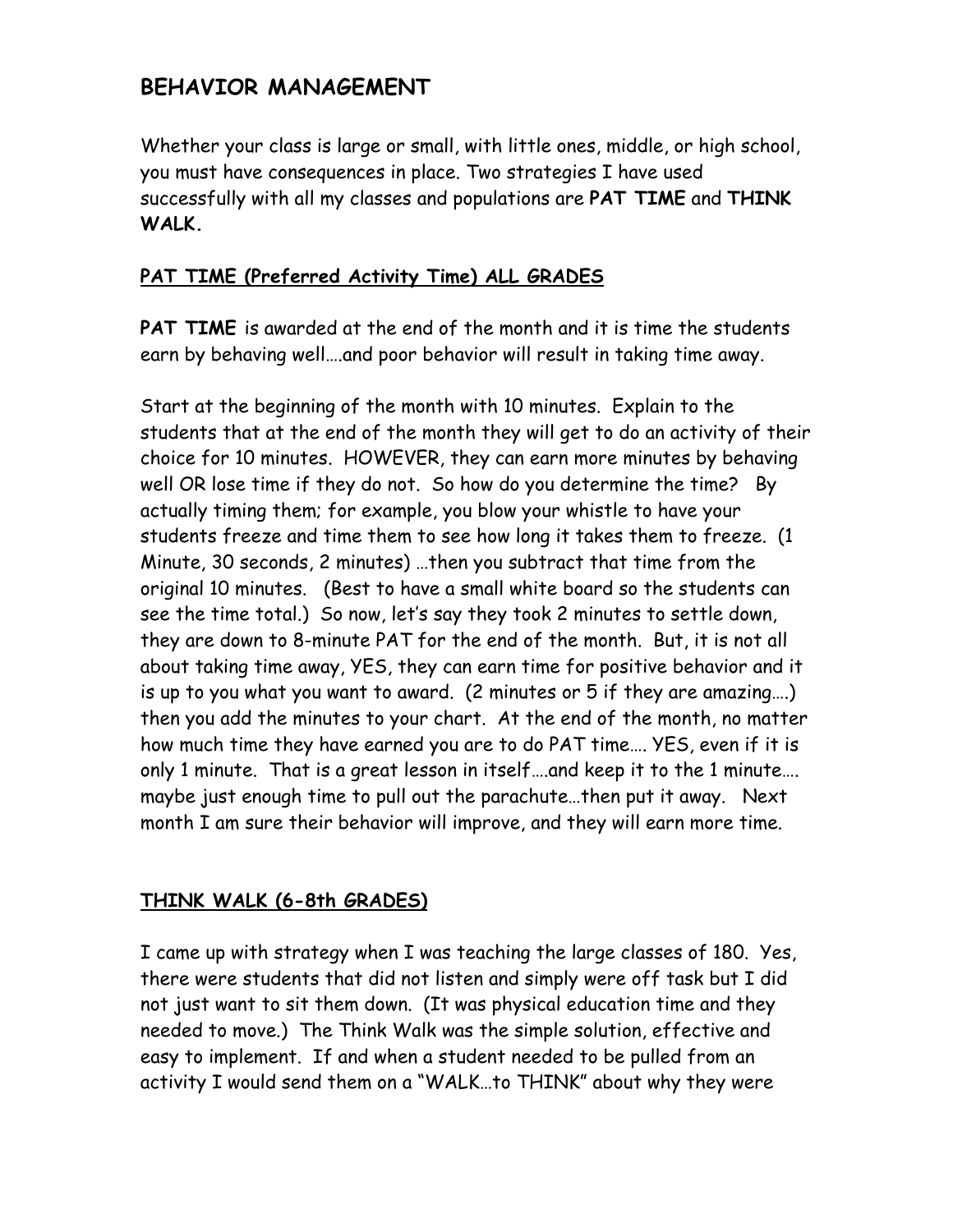# **BEHAVIOR MANAGEMENT**

Whether your class is large or small, with little ones, middle, or high school, you must have consequences in place. Two strategies I have used successfully with all my classes and populations are **PAT TIME** and **THINK WALK.** 

### **PAT TIME (Preferred Activity Time) ALL GRADES**

**PAT TIME** is awarded at the end of the month and it is time the students earn by behaving well….and poor behavior will result in taking time away.

Start at the beginning of the month with 10 minutes. Explain to the students that at the end of the month they will get to do an activity of their choice for 10 minutes. HOWEVER, they can earn more minutes by behaving well OR lose time if they do not. So how do you determine the time? By actually timing them; for example, you blow your whistle to have your students freeze and time them to see how long it takes them to freeze. (1 Minute, 30 seconds, 2 minutes) …then you subtract that time from the original 10 minutes. (Best to have a small white board so the students can see the time total.) So now, let's say they took 2 minutes to settle down, they are down to 8-minute PAT for the end of the month. But, it is not all about taking time away, YES, they can earn time for positive behavior and it is up to you what you want to award. (2 minutes or 5 if they are amazing….) then you add the minutes to your chart. At the end of the month, no matter how much time they have earned you are to do PAT time…. YES, even if it is only 1 minute. That is a great lesson in itself….and keep it to the 1 minute…. maybe just enough time to pull out the parachute…then put it away. Next month I am sure their behavior will improve, and they will earn more time.

#### **THINK WALK (6-8th GRADES)**

I came up with strategy when I was teaching the large classes of 180. Yes, there were students that did not listen and simply were off task but I did not just want to sit them down. (It was physical education time and they needed to move.) The Think Walk was the simple solution, effective and easy to implement. If and when a student needed to be pulled from an activity I would send them on a "WALK…to THINK" about why they were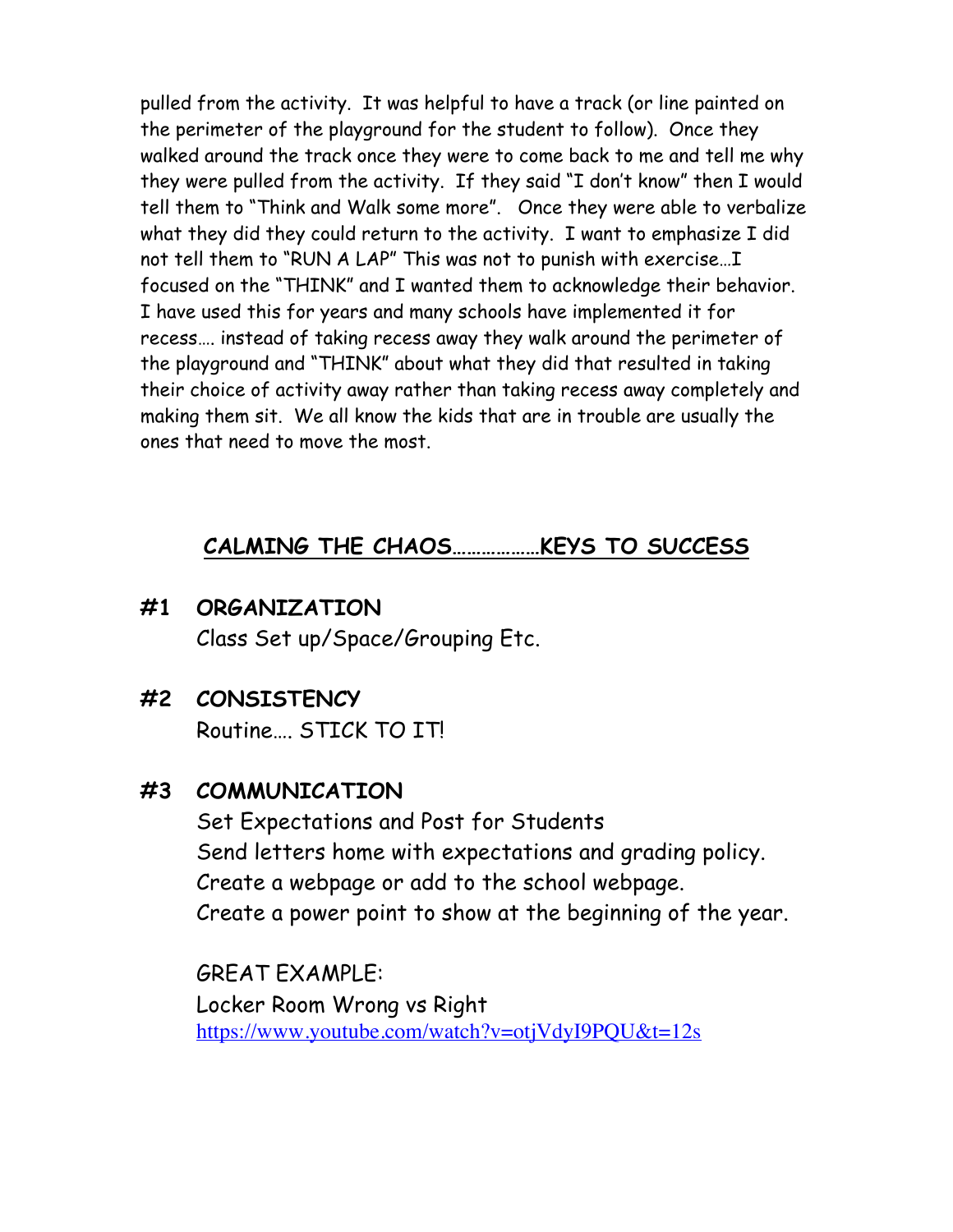pulled from the activity. It was helpful to have a track (or line painted on the perimeter of the playground for the student to follow). Once they walked around the track once they were to come back to me and tell me why they were pulled from the activity. If they said "I don't know" then I would tell them to "Think and Walk some more". Once they were able to verbalize what they did they could return to the activity. I want to emphasize I did not tell them to "RUN A LAP" This was not to punish with exercise…I focused on the "THINK" and I wanted them to acknowledge their behavior. I have used this for years and many schools have implemented it for recess…. instead of taking recess away they walk around the perimeter of the playground and "THINK" about what they did that resulted in taking their choice of activity away rather than taking recess away completely and making them sit. We all know the kids that are in trouble are usually the ones that need to move the most.

# **CALMING THE CHAOS………………KEYS TO SUCCESS**

- **#1 ORGANIZATION** Class Set up/Space/Grouping Etc.
- **#2 CONSISTENCY**

Routine STICK TO ITI

# **#3 COMMUNICATION**

Set Expectations and Post for Students Send letters home with expectations and grading policy. Create a webpage or add to the school webpage. Create a power point to show at the beginning of the year.

GREAT EXAMPLE: Locker Room Wrong vs Right https://www.youtube.com/watch?v=otjVdyI9PQU&t=12s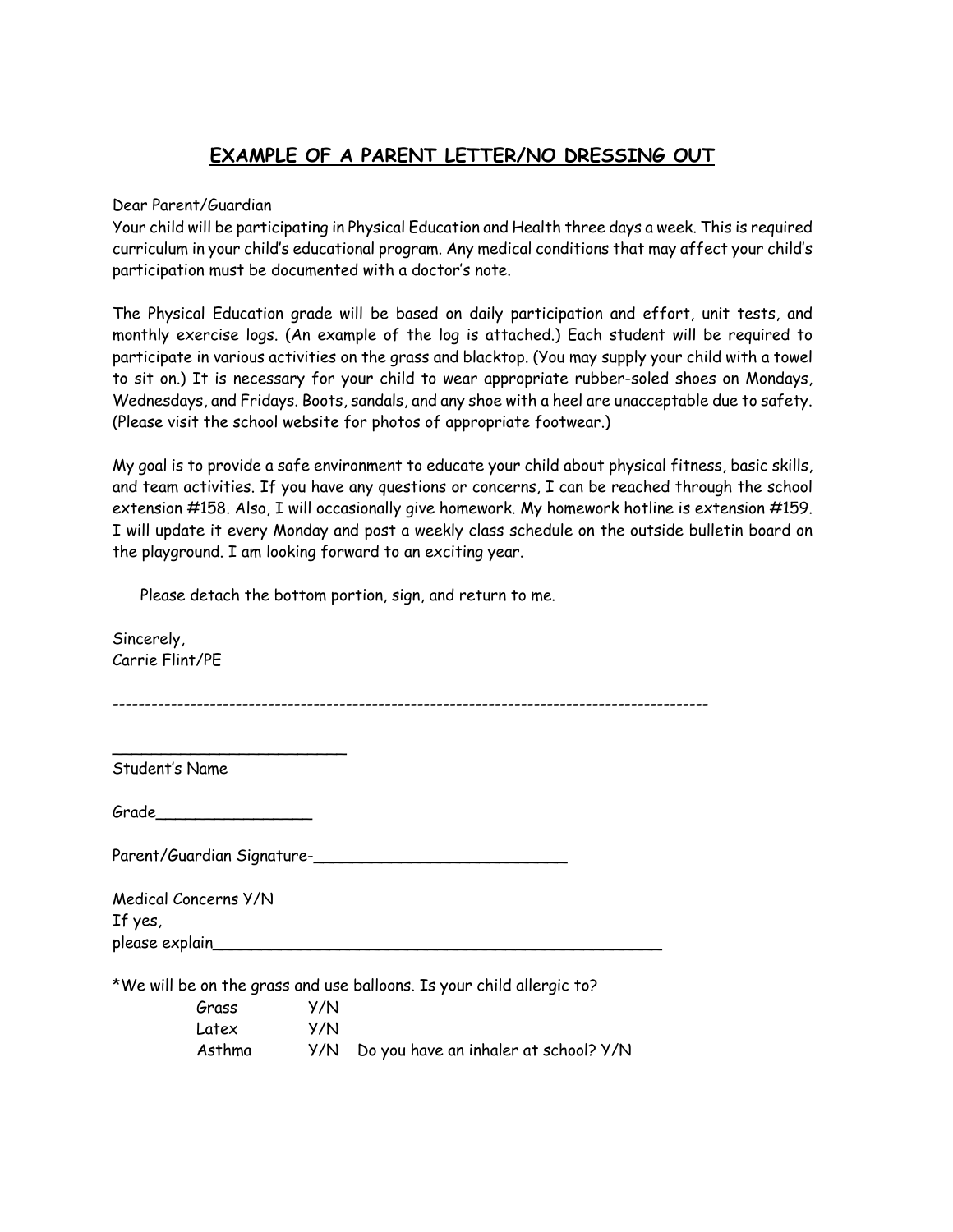#### **EXAMPLE OF A PARENT LETTER/NO DRESSING OUT**

#### Dear Parent/Guardian

Your child will be participating in Physical Education and Health three days a week. This is required curriculum in your child's educational program. Any medical conditions that may affect your child's participation must be documented with a doctor's note.

The Physical Education grade will be based on daily participation and effort, unit tests, and monthly exercise logs. (An example of the log is attached.) Each student will be required to participate in various activities on the grass and blacktop. (You may supply your child with a towel to sit on.) It is necessary for your child to wear appropriate rubber-soled shoes on Mondays, Wednesdays, and Fridays. Boots, sandals, and any shoe with a heel are unacceptable due to safety. (Please visit the school website for photos of appropriate footwear.)

My goal is to provide a safe environment to educate your child about physical fitness, basic skills, and team activities. If you have any questions or concerns, I can be reached through the school extension #158. Also, I will occasionally give homework. My homework hotline is extension #159. I will update it every Monday and post a weekly class schedule on the outside bulletin board on the playground. I am looking forward to an exciting year.

Please detach the bottom portion, sign, and return to me.

Sincerely, Carrie Flint/PE

Student's Name

\_\_\_\_\_\_\_\_\_\_\_\_\_\_\_\_\_\_\_\_\_\_\_\_

Grade\_\_\_\_\_\_\_\_\_\_\_\_\_\_\_\_

Parent/Guardian Signature-

| Medical Concerns Y/N |  |  |
|----------------------|--|--|
| If yes,              |  |  |
| please explain_      |  |  |
|                      |  |  |

\*We will be on the grass and use balloons. Is your child allergic to?

| Grass  | Y/N |                                           |
|--------|-----|-------------------------------------------|
| Latex  | Y/N |                                           |
| Asthma |     | Y/N Do you have an inhaler at school? Y/N |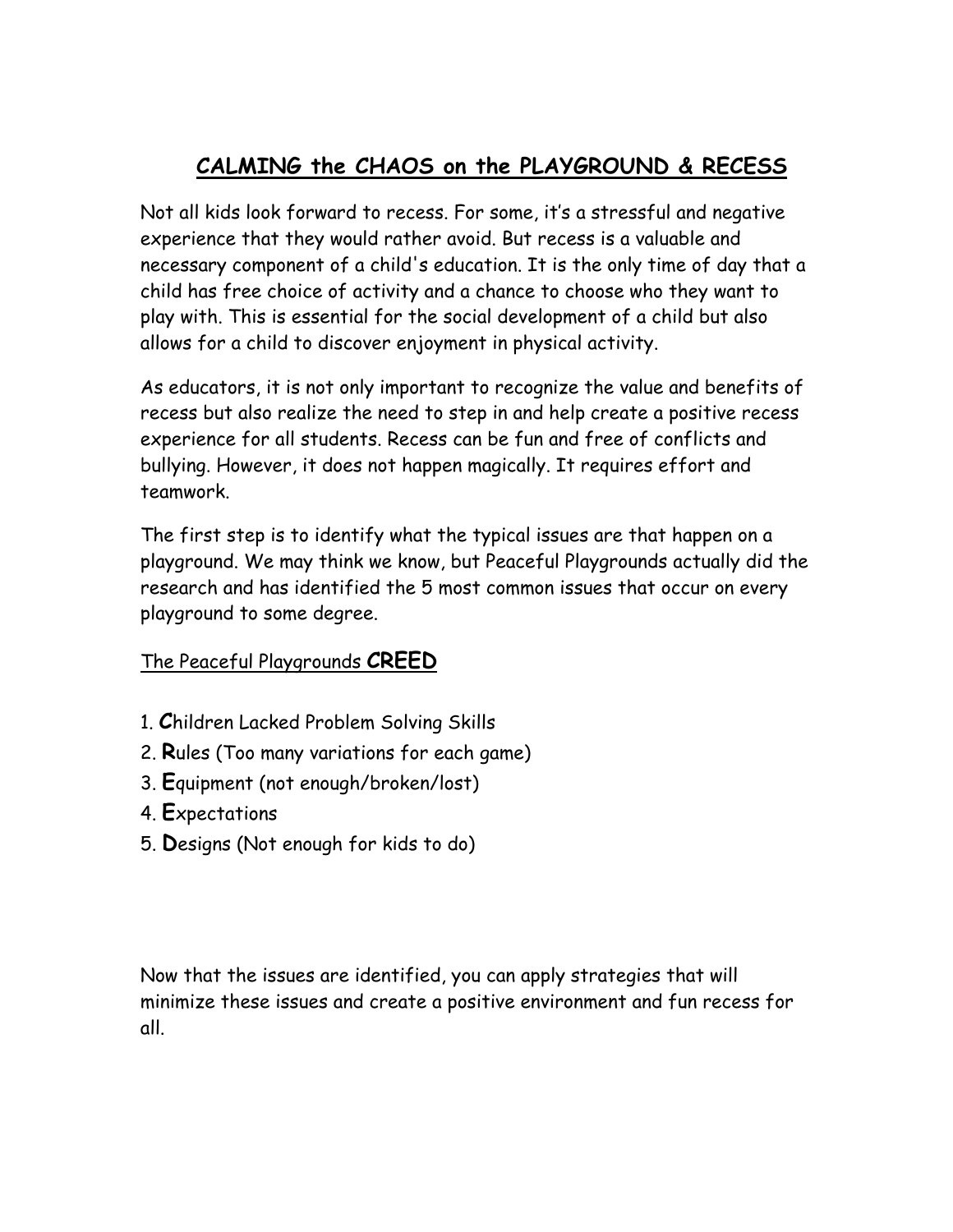# **CALMING the CHAOS on the PLAYGROUND & RECESS**

Not all kids look forward to recess. For some, it's a stressful and negative experience that they would rather avoid. But recess is a valuable and necessary component of a child's education. It is the only time of day that a child has free choice of activity and a chance to choose who they want to play with. This is essential for the social development of a child but also allows for a child to discover enjoyment in physical activity.

As educators, it is not only important to recognize the value and benefits of recess but also realize the need to step in and help create a positive recess experience for all students. Recess can be fun and free of conflicts and bullying. However, it does not happen magically. It requires effort and teamwork.

The first step is to identify what the typical issues are that happen on a playground. We may think we know, but Peaceful Playgrounds actually did the research and has identified the 5 most common issues that occur on every playground to some degree.

## The Peaceful Playgrounds **CREED**

- 1. **C**hildren Lacked Problem Solving Skills
- 2. **R**ules (Too many variations for each game)
- 3. **E**quipment (not enough/broken/lost)
- 4. **E**xpectations
- 5. **D**esigns (Not enough for kids to do)

Now that the issues are identified, you can apply strategies that will minimize these issues and create a positive environment and fun recess for all.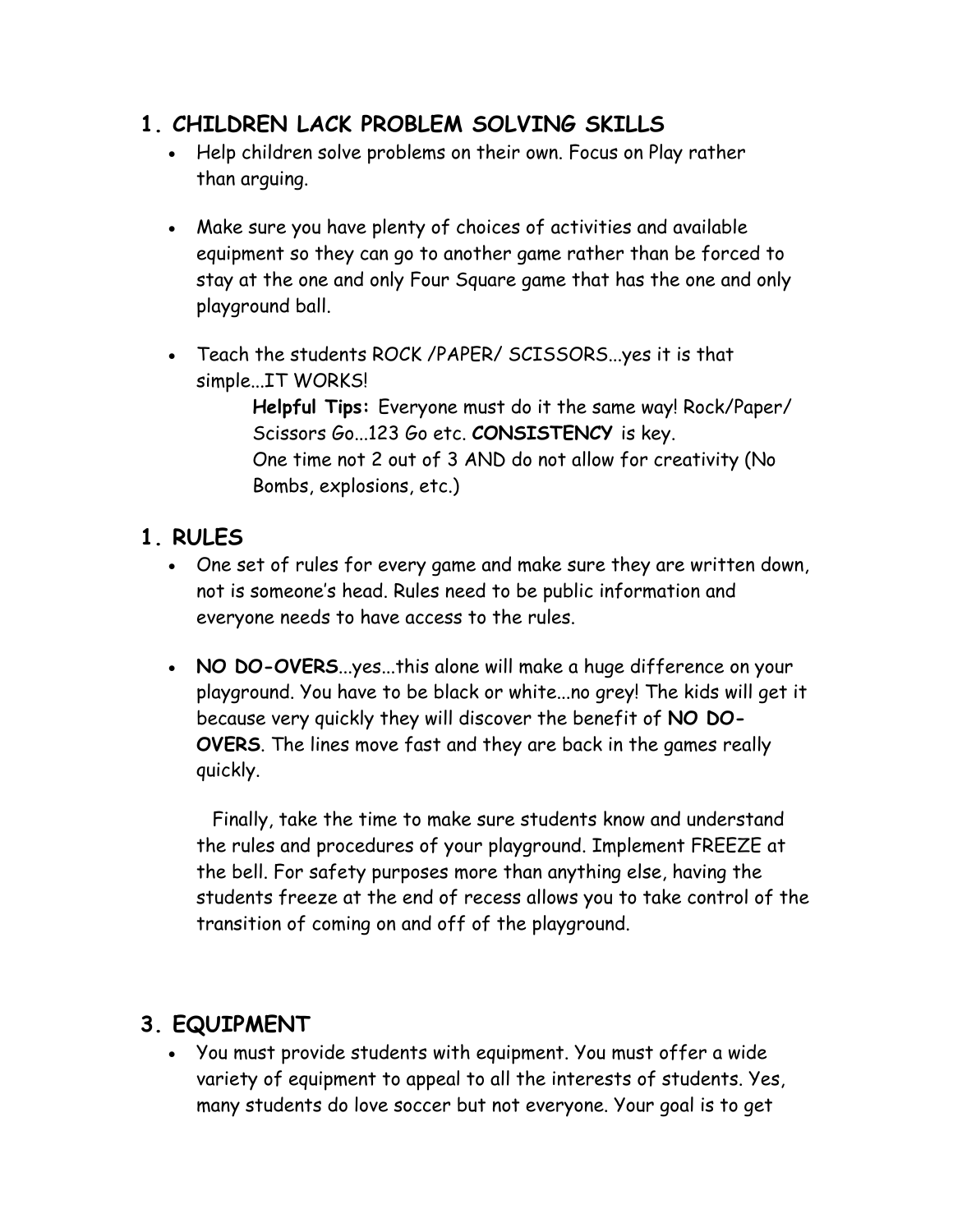# **1. CHILDREN LACK PROBLEM SOLVING SKILLS**

- Help children solve problems on their own. Focus on Play rather than arguing.
- Make sure you have plenty of choices of activities and available equipment so they can go to another game rather than be forced to stay at the one and only Four Square game that has the one and only playground ball.
- Teach the students ROCK /PAPER/ SCISSORS...yes it is that simple...IT WORKS!

**Helpful Tips:** Everyone must do it the same way! Rock/Paper/ Scissors Go...123 Go etc. **CONSISTENCY** is key. One time not 2 out of 3 AND do not allow for creativity (No Bombs, explosions, etc.)

## **1. RULES**

- One set of rules for every game and make sure they are written down, not is someone's head. Rules need to be public information and everyone needs to have access to the rules.
- **NO DO-OVERS**...yes...this alone will make a huge difference on your playground. You have to be black or white...no grey! The kids will get it because very quickly they will discover the benefit of **NO DO-OVERS**. The lines move fast and they are back in the games really quickly.

 Finally, take the time to make sure students know and understand the rules and procedures of your playground. Implement FREEZE at the bell. For safety purposes more than anything else, having the students freeze at the end of recess allows you to take control of the transition of coming on and off of the playground.

# **3. EQUIPMENT**

• You must provide students with equipment. You must offer a wide variety of equipment to appeal to all the interests of students. Yes, many students do love soccer but not everyone. Your goal is to get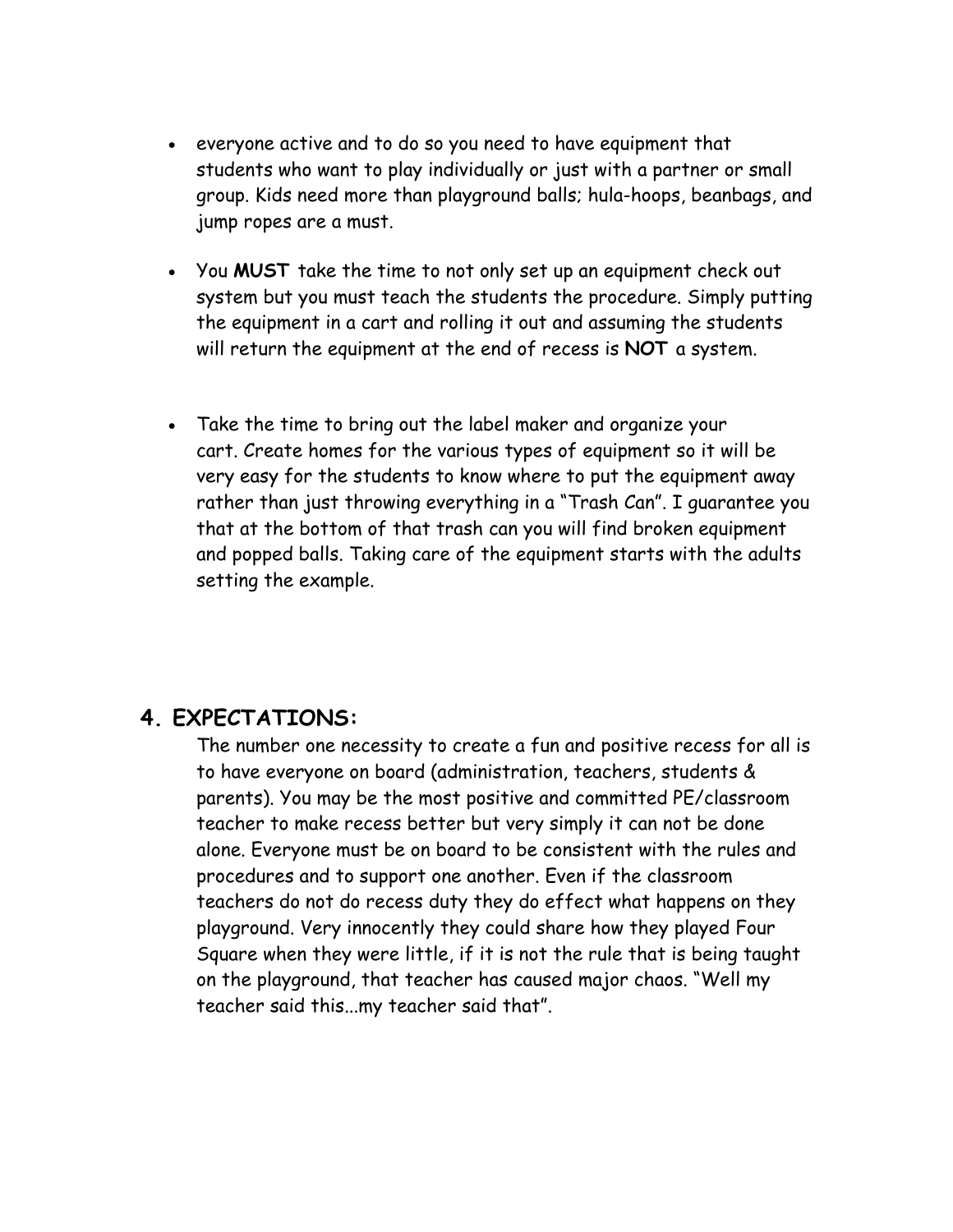- everyone active and to do so you need to have equipment that students who want to play individually or just with a partner or small group. Kids need more than playground balls; hula-hoops, beanbags, and jump ropes are a must.
- You **MUST** take the time to not only set up an equipment check out system but you must teach the students the procedure. Simply putting the equipment in a cart and rolling it out and assuming the students will return the equipment at the end of recess is **NOT** a system.
- Take the time to bring out the label maker and organize your cart. Create homes for the various types of equipment so it will be very easy for the students to know where to put the equipment away rather than just throwing everything in a "Trash Can". I guarantee you that at the bottom of that trash can you will find broken equipment and popped balls. Taking care of the equipment starts with the adults setting the example.

## **4. EXPECTATIONS:**

The number one necessity to create a fun and positive recess for all is to have everyone on board (administration, teachers, students & parents). You may be the most positive and committed PE/classroom teacher to make recess better but very simply it can not be done alone. Everyone must be on board to be consistent with the rules and procedures and to support one another. Even if the classroom teachers do not do recess duty they do effect what happens on they playground. Very innocently they could share how they played Four Square when they were little, if it is not the rule that is being taught on the playground, that teacher has caused major chaos. "Well my teacher said this...my teacher said that".